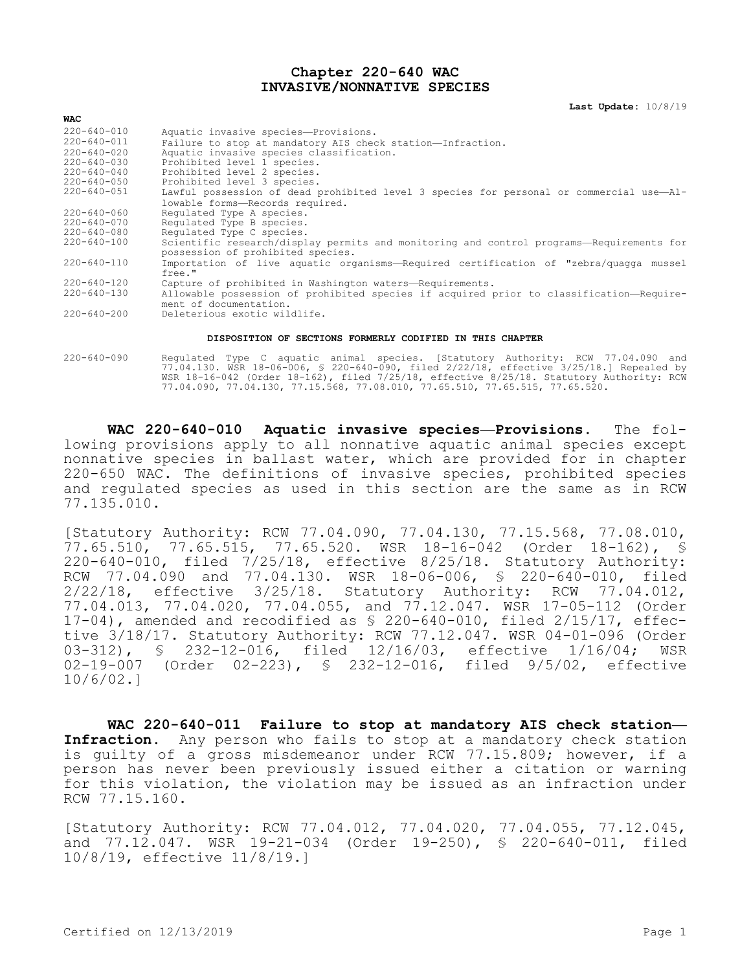## **Chapter 220-640 WAC INVASIVE/NONNATIVE SPECIES**

**Last Update:** 10/8/19

| <b>WAC</b>        |                                                                                                                               |
|-------------------|-------------------------------------------------------------------------------------------------------------------------------|
| $220 - 640 - 010$ | Aquatic invasive species-Provisions.                                                                                          |
| $220 - 640 - 011$ | Failure to stop at mandatory AIS check station-Infraction.                                                                    |
| $220 - 640 - 020$ | Aquatic invasive species classification.                                                                                      |
| $220 - 640 - 030$ | Prohibited level 1 species.                                                                                                   |
| $220 - 640 - 040$ | Prohibited level 2 species.                                                                                                   |
| 220-640-050       | Prohibited level 3 species.                                                                                                   |
| $220 - 640 - 051$ | Lawful possession of dead prohibited level 3 species for personal or commercial use-Al-                                       |
|                   | lowable forms-Records required.                                                                                               |
| $220 - 640 - 060$ | Requlated Type A species.                                                                                                     |
| $220 - 640 - 070$ | Requlated Type B species.                                                                                                     |
| 220-640-080       | Requlated Type C species.                                                                                                     |
| $220 - 640 - 100$ | Scientific research/display permits and monitoring and control programs—Requirements for<br>possession of prohibited species. |
| $220 - 640 - 110$ | Importation of live aquatic organisms—Required certification of "zebra/quagga mussel                                          |
|                   | free."                                                                                                                        |
| 220-640-120       | Capture of prohibited in Washington waters-Requirements.                                                                      |
| $220 - 640 - 130$ | Allowable possession of prohibited species if acquired prior to classification-Require-<br>ment of documentation.             |
| $220 - 640 - 200$ | Deleterious exotic wildlife.                                                                                                  |

## **DISPOSITION OF SECTIONS FORMERLY CODIFIED IN THIS CHAPTER**

220-640-090 Regulated Type C aquatic animal species. [Statutory Authority: RCW 77.04.090 and 77.04.130. WSR 18-06-006, § 220-640-090, filed 2/22/18, effective 3/25/18.] Repealed by WSR 18-16-042 (Order 18-162), filed 7/25/18, effective 8/25/18. Statutory Authority: RCW 77.04.090, 77.04.130, 77.15.568, 77.08.010, 77.65.510, 77.65.515, 77.65.520.

**WAC 220-640-010 Aquatic invasive species—Provisions.** The following provisions apply to all nonnative aquatic animal species except nonnative species in ballast water, which are provided for in chapter 220-650 WAC. The definitions of invasive species, prohibited species and regulated species as used in this section are the same as in RCW 77.135.010.

[Statutory Authority: RCW 77.04.090, 77.04.130, 77.15.568, 77.08.010, 77.65.510, 77.65.515, 77.65.520. WSR 18-16-042 (Order 18-162), § 220-640-010, filed 7/25/18, effective 8/25/18. Statutory Authority: RCW 77.04.090 and 77.04.130. WSR 18-06-006, § 220-640-010, filed 2/22/18, effective 3/25/18. Statutory Authority: RCW 77.04.012, 77.04.013, 77.04.020, 77.04.055, and 77.12.047. WSR 17-05-112 (Order 17-04), amended and recodified as § 220-640-010, filed 2/15/17, effective 3/18/17. Statutory Authority: RCW 77.12.047. WSR 04-01-096 (Order 03-312), § 232-12-016, filed 12/16/03, effective 1/16/04; WSR 02-19-007 (Order 02-223), § 232-12-016, filed 9/5/02, effective 10/6/02.]

**WAC 220-640-011 Failure to stop at mandatory AIS check station— Infraction.** Any person who fails to stop at a mandatory check station is guilty of a gross misdemeanor under RCW 77.15.809; however, if a person has never been previously issued either a citation or warning for this violation, the violation may be issued as an infraction under RCW 77.15.160.

[Statutory Authority: RCW 77.04.012, 77.04.020, 77.04.055, 77.12.045, and 77.12.047. WSR 19-21-034 (Order 19-250), § 220-640-011, filed 10/8/19, effective 11/8/19.]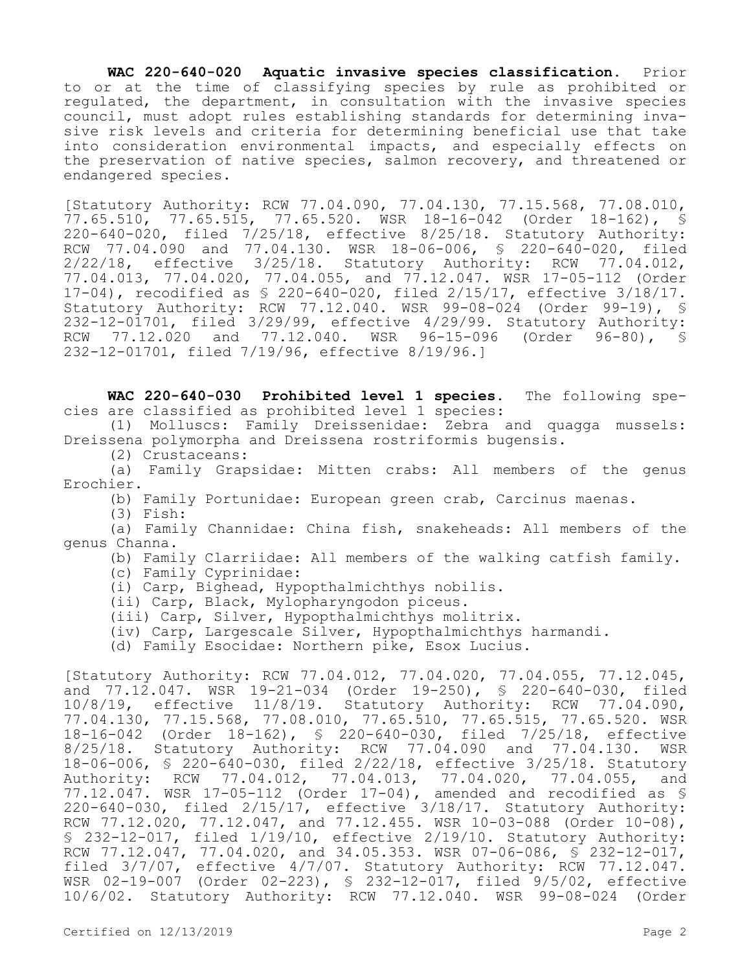**WAC 220-640-020 Aquatic invasive species classification.** Prior to or at the time of classifying species by rule as prohibited or regulated, the department, in consultation with the invasive species council, must adopt rules establishing standards for determining invasive risk levels and criteria for determining beneficial use that take into consideration environmental impacts, and especially effects on the preservation of native species, salmon recovery, and threatened or endangered species.

[Statutory Authority: RCW 77.04.090, 77.04.130, 77.15.568, 77.08.010, 77.65.510, 77.65.515, 77.65.520. WSR 18-16-042 (Order 18-162), § 220-640-020, filed 7/25/18, effective 8/25/18. Statutory Authority: RCW 77.04.090 and 77.04.130. WSR 18-06-006, § 220-640-020, filed 2/22/18, effective 3/25/18. Statutory Authority: RCW 77.04.012, 77.04.013, 77.04.020, 77.04.055, and 77.12.047. WSR 17-05-112 (Order 17-04), recodified as § 220-640-020, filed 2/15/17, effective 3/18/17. Statutory Authority: RCW 77.12.040. WSR 99-08-024 (Order 99-19), § 232-12-01701, filed 3/29/99, effective 4/29/99. Statutory Authority: RCW 77.12.020 and 77.12.040. WSR 96-15-096 (Order 96-80), § 232-12-01701, filed 7/19/96, effective 8/19/96.]

**WAC 220-640-030 Prohibited level 1 species.** The following species are classified as prohibited level 1 species:

(1) Molluscs: Family Dreissenidae: Zebra and quagga mussels: Dreissena polymorpha and Dreissena rostriformis bugensis.

(2) Crustaceans:

(a) Family Grapsidae: Mitten crabs: All members of the genus Erochier.

(b) Family Portunidae: European green crab, Carcinus maenas.

(3) Fish:

(a) Family Channidae: China fish, snakeheads: All members of the genus Channa.

(b) Family Clarriidae: All members of the walking catfish family.

- (c) Family Cyprinidae:
- (i) Carp, Bighead, Hypopthalmichthys nobilis.
- (ii) Carp, Black, Mylopharyngodon piceus.

(iii) Carp, Silver, Hypopthalmichthys molitrix.

(iv) Carp, Largescale Silver, Hypopthalmichthys harmandi.

(d) Family Esocidae: Northern pike, Esox Lucius.

[Statutory Authority: RCW 77.04.012, 77.04.020, 77.04.055, 77.12.045, and 77.12.047. WSR 19-21-034 (Order 19-250), § 220-640-030, filed 10/8/19, effective 11/8/19. Statutory Authority: RCW 77.04.090, 77.04.130, 77.15.568, 77.08.010, 77.65.510, 77.65.515, 77.65.520. WSR 18-16-042 (Order 18-162), § 220-640-030, filed 7/25/18, effective 8/25/18. Statutory Authority: RCW 77.04.090 and 77.04.130. WSR 18-06-006, § 220-640-030, filed 2/22/18, effective 3/25/18. Statutory Authority: RCW 77.04.012, 77.04.013, 77.04.020, 77.04.055, and 77.12.047. WSR 17-05-112 (Order 17-04), amended and recodified as § 220-640-030, filed 2/15/17, effective 3/18/17. Statutory Authority: RCW 77.12.020, 77.12.047, and 77.12.455. WSR 10-03-088 (Order 10-08), § 232-12-017, filed 1/19/10, effective 2/19/10. Statutory Authority: RCW 77.12.047, 77.04.020, and 34.05.353. WSR 07-06-086,  $\frac{1}{5}$  232-12-017, filed 3/7/07, effective 4/7/07. Statutory Authority: RCW 77.12.047. WSR 02-19-007 (Order 02-223), § 232-12-017, filed 9/5/02, effective 10/6/02. Statutory Authority: RCW 77.12.040. WSR 99-08-024 (Order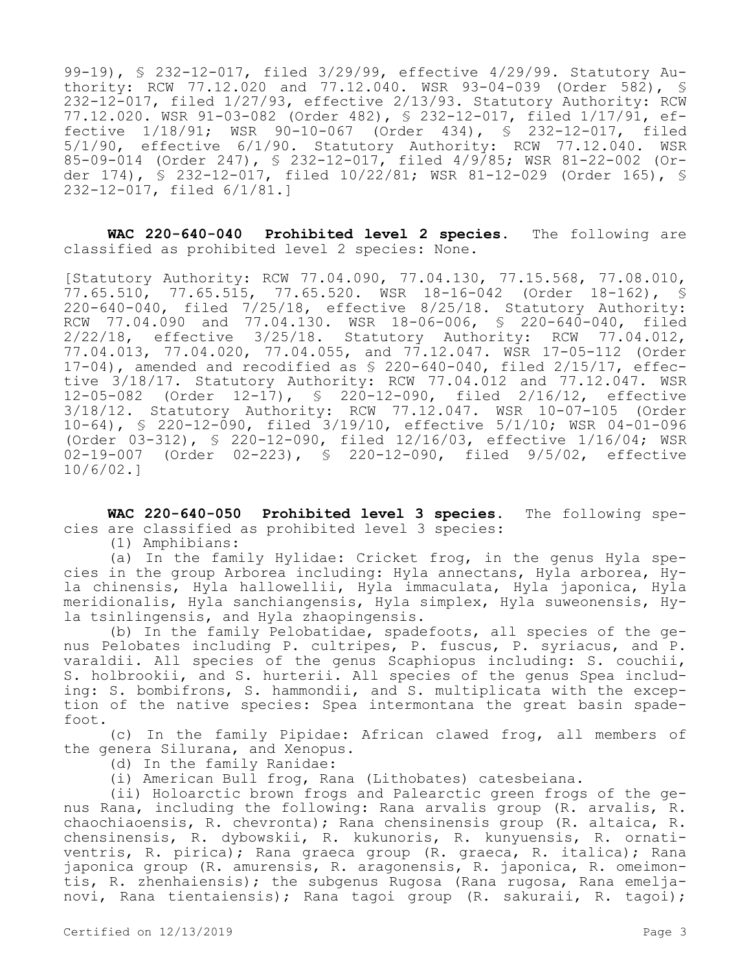99-19), § 232-12-017, filed 3/29/99, effective 4/29/99. Statutory Authority: RCW 77.12.020 and 77.12.040. WSR 93-04-039 (Order 582), § 232-12-017, filed 1/27/93, effective 2/13/93. Statutory Authority: RCW 77.12.020. WSR 91-03-082 (Order 482), § 232-12-017, filed 1/17/91, effective 1/18/91; WSR 90-10-067 (Order 434), § 232-12-017, filed 5/1/90, effective 6/1/90. Statutory Authority: RCW 77.12.040. WSR 85-09-014 (Order 247), § 232-12-017, filed 4/9/85; WSR 81-22-002 (Order 174), § 232-12-017, filed 10/22/81; WSR 81-12-029 (Order 165), § 232-12-017, filed 6/1/81.]

**WAC 220-640-040 Prohibited level 2 species.** The following are classified as prohibited level 2 species: None.

[Statutory Authority: RCW 77.04.090, 77.04.130, 77.15.568, 77.08.010, 77.65.510, 77.65.515, 77.65.520. WSR 18-16-042 (Order 18-162), § 220-640-040, filed 7/25/18, effective 8/25/18. Statutory Authority: RCW 77.04.090 and 77.04.130. WSR 18-06-006, § 220-640-040, filed 2/22/18, effective 3/25/18. Statutory Authority: RCW 77.04.012, 77.04.013, 77.04.020, 77.04.055, and 77.12.047. WSR 17-05-112 (Order  $17-04$ ), amended and recodified as  $$ 220-640-040$ , filed  $2/15/17$ , effective 3/18/17. Statutory Authority: RCW 77.04.012 and 77.12.047. WSR 12-05-082 (Order 12-17), § 220-12-090, filed 2/16/12, effective 3/18/12. Statutory Authority: RCW 77.12.047. WSR 10-07-105 (Order 10-64), § 220-12-090, filed 3/19/10, effective 5/1/10; WSR 04-01-096 (Order 03-312), § 220-12-090, filed 12/16/03, effective 1/16/04; WSR 02-19-007 (Order 02-223), § 220-12-090, filed 9/5/02, effective 10/6/02.]

**WAC 220-640-050 Prohibited level 3 species.** The following species are classified as prohibited level 3 species:

(1) Amphibians:

(a) In the family Hylidae: Cricket frog, in the genus Hyla species in the group Arborea including: Hyla annectans, Hyla arborea, Hyla chinensis, Hyla hallowellii, Hyla immaculata, Hyla japonica, Hyla meridionalis, Hyla sanchiangensis, Hyla simplex, Hyla suweonensis, Hyla tsinlingensis, and Hyla zhaopingensis.

(b) In the family Pelobatidae, spadefoots, all species of the genus Pelobates including P. cultripes, P. fuscus, P. syriacus, and P. varaldii. All species of the genus Scaphiopus including: S. couchii, S. holbrookii, and S. hurterii. All species of the genus Spea including: S. bombifrons, S. hammondii, and S. multiplicata with the exception of the native species: Spea intermontana the great basin spadefoot.

(c) In the family Pipidae: African clawed frog, all members of the genera Silurana, and Xenopus.

(d) In the family Ranidae:

(i) American Bull frog, Rana (Lithobates) catesbeiana.

(ii) Holoarctic brown frogs and Palearctic green frogs of the genus Rana, including the following: Rana arvalis group (R. arvalis, R. chaochiaoensis, R. chevronta); Rana chensinensis group (R. altaica, R. chensinensis, R. dybowskii, R. kukunoris, R. kunyuensis, R. ornativentris, R. pirica); Rana graeca group (R. graeca, R. italica); Rana japonica group (R. amurensis, R. aragonensis, R. japonica, R. omeimontis, R. zhenhaiensis); the subgenus Rugosa (Rana rugosa, Rana emeljanovi, Rana tientaiensis); Rana tagoi group (R. sakuraii, R. tagoi);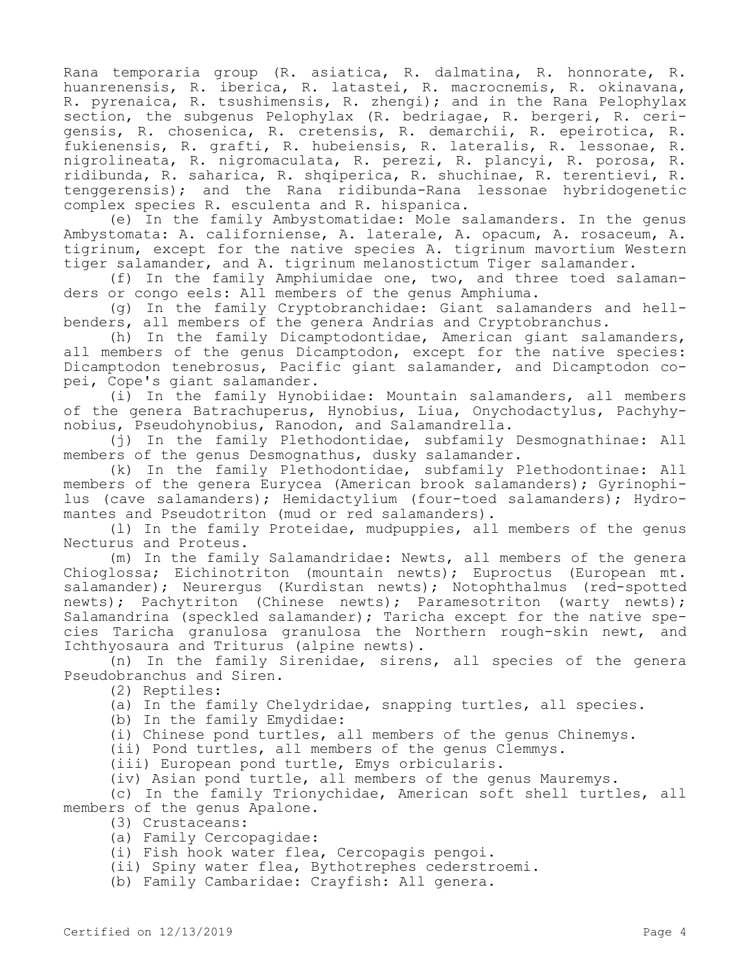Rana temporaria group (R. asiatica, R. dalmatina, R. honnorate, R. huanrenensis, R. iberica, R. latastei, R. macrocnemis, R. okinavana, R. pyrenaica, R. tsushimensis, R. zhengi); and in the Rana Pelophylax section, the subgenus Pelophylax (R. bedriagae, R. bergeri, R. cerigensis, R. chosenica, R. cretensis, R. demarchii, R. epeirotica, R. fukienensis, R. grafti, R. hubeiensis, R. lateralis, R. lessonae, R. nigrolineata, R. nigromaculata, R. perezi, R. plancyi, R. porosa, R. ridibunda, R. saharica, R. shqiperica, R. shuchinae, R. terentievi, R. tenggerensis); and the Rana ridibunda-Rana lessonae hybridogenetic complex species R. esculenta and R. hispanica.

(e) In the family Ambystomatidae: Mole salamanders. In the genus Ambystomata: A. californiense, A. laterale, A. opacum, A. rosaceum, A. tigrinum, except for the native species A. tigrinum mavortium Western tiger salamander, and A. tigrinum melanostictum Tiger salamander.

(f) In the family Amphiumidae one, two, and three toed salamanders or congo eels: All members of the genus Amphiuma.

(g) In the family Cryptobranchidae: Giant salamanders and hellbenders, all members of the genera Andrias and Cryptobranchus.

(h) In the family Dicamptodontidae, American giant salamanders, all members of the genus Dicamptodon, except for the native species: Dicamptodon tenebrosus, Pacific giant salamander, and Dicamptodon copei, Cope's giant salamander.

(i) In the family Hynobiidae: Mountain salamanders, all members of the genera Batrachuperus, Hynobius, Liua, Onychodactylus, Pachyhynobius, Pseudohynobius, Ranodon, and Salamandrella.

(j) In the family Plethodontidae, subfamily Desmognathinae: All members of the genus Desmognathus, dusky salamander.

(k) In the family Plethodontidae, subfamily Plethodontinae: All members of the genera Eurycea (American brook salamanders); Gyrinophilus (cave salamanders); Hemidactylium (four-toed salamanders); Hydromantes and Pseudotriton (mud or red salamanders).

(l) In the family Proteidae, mudpuppies, all members of the genus Necturus and Proteus.

(m) In the family Salamandridae: Newts, all members of the genera Chioglossa; Eichinotriton (mountain newts); Euproctus (European mt. salamander); Neurerqus (Kurdistan newts); Notophthalmus (red-spotted newts); Pachytriton (Chinese newts); Paramesotriton (warty newts); Salamandrina (speckled salamander); Taricha except for the native species Taricha granulosa granulosa the Northern rough-skin newt, and Ichthyosaura and Triturus (alpine newts).

(n) In the family Sirenidae, sirens, all species of the genera Pseudobranchus and Siren.

(2) Reptiles:

(a) In the family Chelydridae, snapping turtles, all species.

(b) In the family Emydidae:

(i) Chinese pond turtles, all members of the genus Chinemys.

(ii) Pond turtles, all members of the genus Clemmys.

(iii) European pond turtle, Emys orbicularis.

(iv) Asian pond turtle, all members of the genus Mauremys.

(c) In the family Trionychidae, American soft shell turtles, all members of the genus Apalone.

(3) Crustaceans:

(a) Family Cercopagidae:

(i) Fish hook water flea, Cercopagis pengoi.

(ii) Spiny water flea, Bythotrephes cederstroemi.

(b) Family Cambaridae: Crayfish: All genera.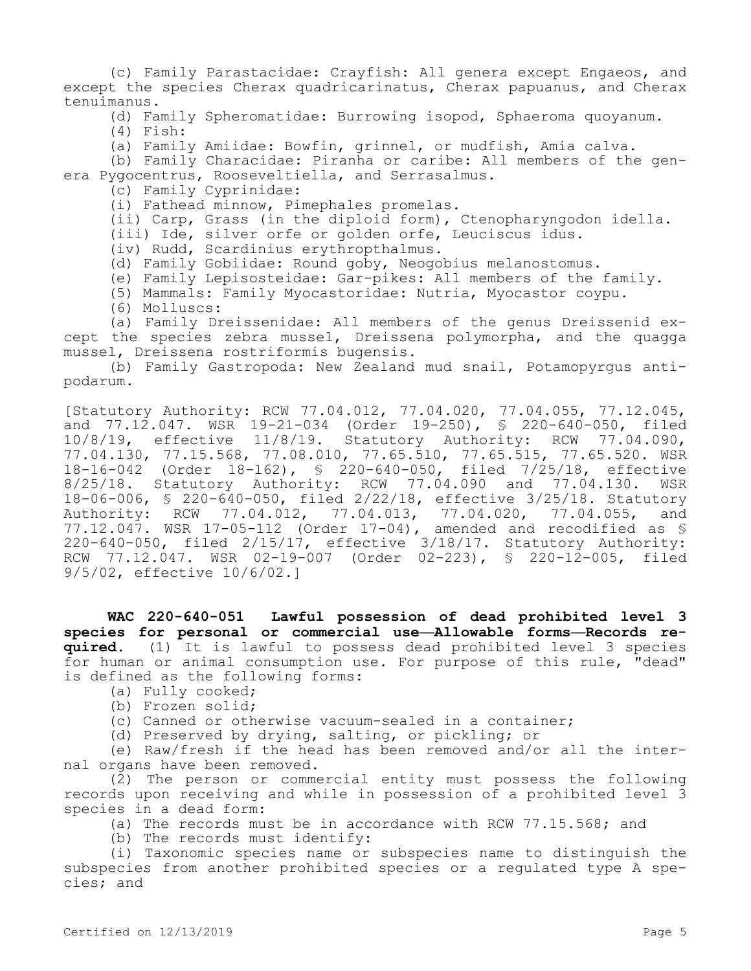(c) Family Parastacidae: Crayfish: All genera except Engaeos, and except the species Cherax quadricarinatus, Cherax papuanus, and Cherax tenuimanus.

(d) Family Spheromatidae: Burrowing isopod, Sphaeroma quoyanum.

(4) Fish:

(a) Family Amiidae: Bowfin, grinnel, or mudfish, Amia calva.

(b) Family Characidae: Piranha or caribe: All members of the genera Pygocentrus, Rooseveltiella, and Serrasalmus.

(c) Family Cyprinidae:

(i) Fathead minnow, Pimephales promelas.

(ii) Carp, Grass (in the diploid form), Ctenopharyngodon idella.

(iii) Ide, silver orfe or golden orfe, Leuciscus idus.

(iv) Rudd, Scardinius erythropthalmus.

(d) Family Gobiidae: Round goby, Neogobius melanostomus.

(e) Family Lepisosteidae: Gar-pikes: All members of the family.

(5) Mammals: Family Myocastoridae: Nutria, Myocastor coypu.

(6) Molluscs:

(a) Family Dreissenidae: All members of the genus Dreissenid except the species zebra mussel, Dreissena polymorpha, and the quagga mussel, Dreissena rostriformis bugensis.

(b) Family Gastropoda: New Zealand mud snail, Potamopyrgus antipodarum.

[Statutory Authority: RCW 77.04.012, 77.04.020, 77.04.055, 77.12.045, and 77.12.047. WSR 19-21-034 (Order 19-250), § 220-640-050, filed 10/8/19, effective 11/8/19. Statutory Authority: RCW 77.04.090, 77.04.130, 77.15.568, 77.08.010, 77.65.510, 77.65.515, 77.65.520. WSR 18-16-042 (Order 18-162), § 220-640-050, filed 7/25/18, effective 8/25/18. Statutory Authority: RCW 77.04.090 and 77.04.130. 18-06-006, § 220-640-050, filed 2/22/18, effective 3/25/18. Statutory Authority: RCW 77.04.012, 77.04.013, 77.04.020, 77.04.055, and 77.12.047. WSR 17-05-112 (Order 17-04), amended and recodified as § 220-640-050, filed 2/15/17, effective 3/18/17. Statutory Authority: RCW 77.12.047. WSR 02-19-007 (Order 02-223), § 220-12-005, filed 9/5/02, effective 10/6/02.]

**WAC 220-640-051 Lawful possession of dead prohibited level 3 species for personal or commercial use—Allowable forms—Records required.** (1) It is lawful to possess dead prohibited level 3 species for human or animal consumption use. For purpose of this rule, "dead" is defined as the following forms:

- (a) Fully cooked;
- (b) Frozen solid;

(c) Canned or otherwise vacuum-sealed in a container;

(d) Preserved by drying, salting, or pickling; or

(e) Raw/fresh if the head has been removed and/or all the internal organs have been removed.

(2) The person or commercial entity must possess the following records upon receiving and while in possession of a prohibited level 3 species in a dead form:

(a) The records must be in accordance with RCW 77.15.568; and

(b) The records must identify:

(i) Taxonomic species name or subspecies name to distinguish the subspecies from another prohibited species or a regulated type A species; and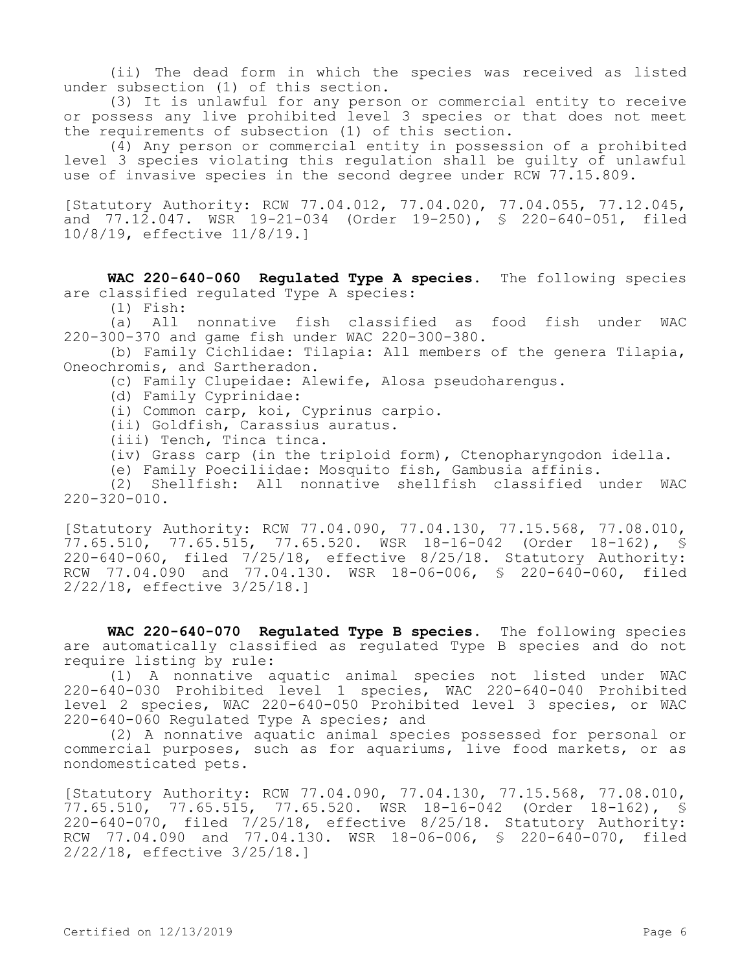(ii) The dead form in which the species was received as listed under subsection (1) of this section.

(3) It is unlawful for any person or commercial entity to receive or possess any live prohibited level 3 species or that does not meet the requirements of subsection (1) of this section.

(4) Any person or commercial entity in possession of a prohibited level 3 species violating this regulation shall be guilty of unlawful use of invasive species in the second degree under RCW 77.15.809.

[Statutory Authority: RCW 77.04.012, 77.04.020, 77.04.055, 77.12.045, and 77.12.047. WSR 19-21-034 (Order 19-250), § 220-640-051, filed 10/8/19, effective 11/8/19.]

**WAC 220-640-060 Regulated Type A species.** The following species are classified regulated Type A species:

 $(1)$  Fish:<br> $(a)$  All

All nonnative fish classified as food fish under WAC 220-300-370 and game fish under WAC 220-300-380.

(b) Family Cichlidae: Tilapia: All members of the genera Tilapia, Oneochromis, and Sartheradon.

(c) Family Clupeidae: Alewife, Alosa pseudoharengus.

(d) Family Cyprinidae:

(i) Common carp, koi, Cyprinus carpio.

(ii) Goldfish, Carassius auratus.

(iii) Tench, Tinca tinca.

(iv) Grass carp (in the triploid form), Ctenopharyngodon idella.

(e) Family Poeciliidae: Mosquito fish, Gambusia affinis.

(2) Shellfish: All nonnative shellfish classified under WAC  $220 - 320 - 010$ .

[Statutory Authority: RCW 77.04.090, 77.04.130, 77.15.568, 77.08.010, 77.65.510, 77.65.515, 77.65.520. WSR 18-16-042 (Order 18-162), § 220-640-060, filed 7/25/18, effective 8/25/18. Statutory Authority: RCW 77.04.090 and 77.04.130. WSR 18-06-006, § 220-640-060, filed 2/22/18, effective 3/25/18.]

**WAC 220-640-070 Regulated Type B species.** The following species are automatically classified as regulated Type B species and do not require listing by rule:

(1) A nonnative aquatic animal species not listed under WAC 220-640-030 Prohibited level 1 species, WAC 220-640-040 Prohibited level 2 species, WAC 220-640-050 Prohibited level 3 species, or WAC 220-640-060 Regulated Type A species; and

(2) A nonnative aquatic animal species possessed for personal or commercial purposes, such as for aquariums, live food markets, or as nondomesticated pets.

[Statutory Authority: RCW 77.04.090, 77.04.130, 77.15.568, 77.08.010, 77.65.510, 77.65.515, 77.65.520. WSR 18-16-042 (Order 18-162), § 220-640-070, filed 7/25/18, effective 8/25/18. Statutory Authority: RCW 77.04.090 and 77.04.130. WSR 18-06-006, § 220-640-070, filed 2/22/18, effective 3/25/18.]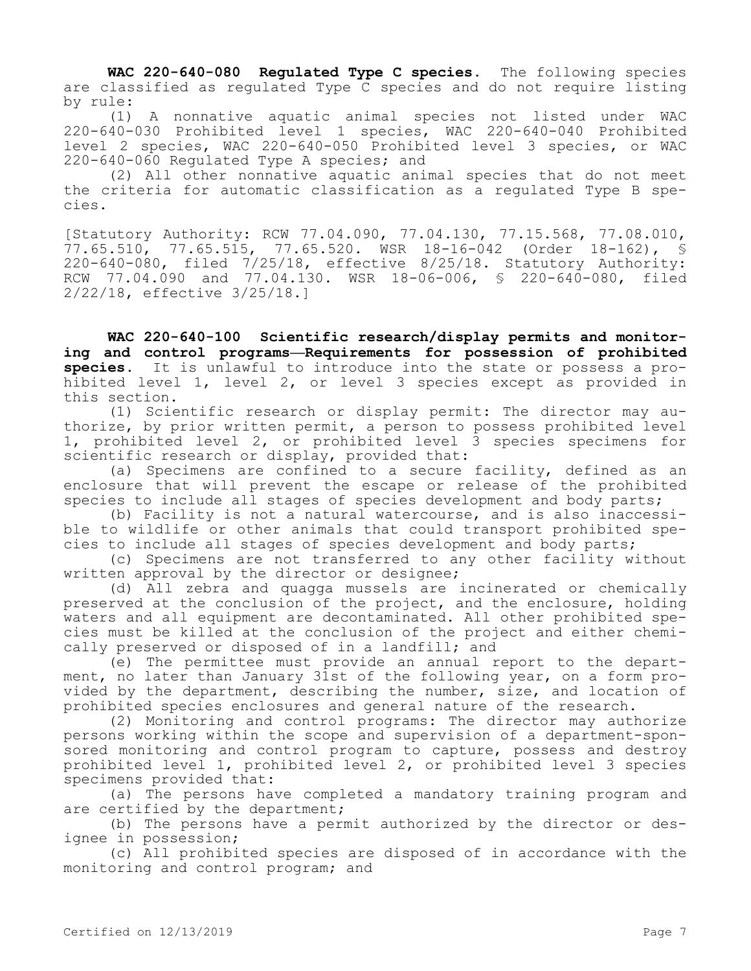**WAC 220-640-080 Regulated Type C species.** The following species are classified as regulated Type C species and do not require listing by rule:

(1) A nonnative aquatic animal species not listed under WAC 220-640-030 Prohibited level 1 species, WAC 220-640-040 Prohibited level 2 species, WAC 220-640-050 Prohibited level 3 species, or WAC 220-640-060 Regulated Type A species; and

(2) All other nonnative aquatic animal species that do not meet the criteria for automatic classification as a regulated Type B species.

[Statutory Authority: RCW 77.04.090, 77.04.130, 77.15.568, 77.08.010, 77.65.510, 77.65.515, 77.65.520. WSR 18-16-042 (Order 18-162), § 220-640-080, filed 7/25/18, effective 8/25/18. Statutory Authority: RCW 77.04.090 and 77.04.130. WSR 18-06-006, § 220-640-080, filed 2/22/18, effective 3/25/18.]

**WAC 220-640-100 Scientific research/display permits and monitoring and control programs—Requirements for possession of prohibited species.** It is unlawful to introduce into the state or possess a prohibited level 1, level 2, or level 3 species except as provided in this section.

(1) Scientific research or display permit: The director may authorize, by prior written permit, a person to possess prohibited level 1, prohibited level 2, or prohibited level 3 species specimens for scientific research or display, provided that:

(a) Specimens are confined to a secure facility, defined as an enclosure that will prevent the escape or release of the prohibited species to include all stages of species development and body parts;

(b) Facility is not a natural watercourse, and is also inaccessible to wildlife or other animals that could transport prohibited species to include all stages of species development and body parts;

(c) Specimens are not transferred to any other facility without written approval by the director or designee;

(d) All zebra and quagga mussels are incinerated or chemically preserved at the conclusion of the project, and the enclosure, holding waters and all equipment are decontaminated. All other prohibited species must be killed at the conclusion of the project and either chemically preserved or disposed of in a landfill; and

(e) The permittee must provide an annual report to the department, no later than January 31st of the following year, on a form provided by the department, describing the number, size, and location of prohibited species enclosures and general nature of the research.

(2) Monitoring and control programs: The director may authorize persons working within the scope and supervision of a department-sponsored monitoring and control program to capture, possess and destroy prohibited level 1, prohibited level 2, or prohibited level 3 species specimens provided that:

(a) The persons have completed a mandatory training program and are certified by the department;

(b) The persons have a permit authorized by the director or designee in possession;

(c) All prohibited species are disposed of in accordance with the monitoring and control program; and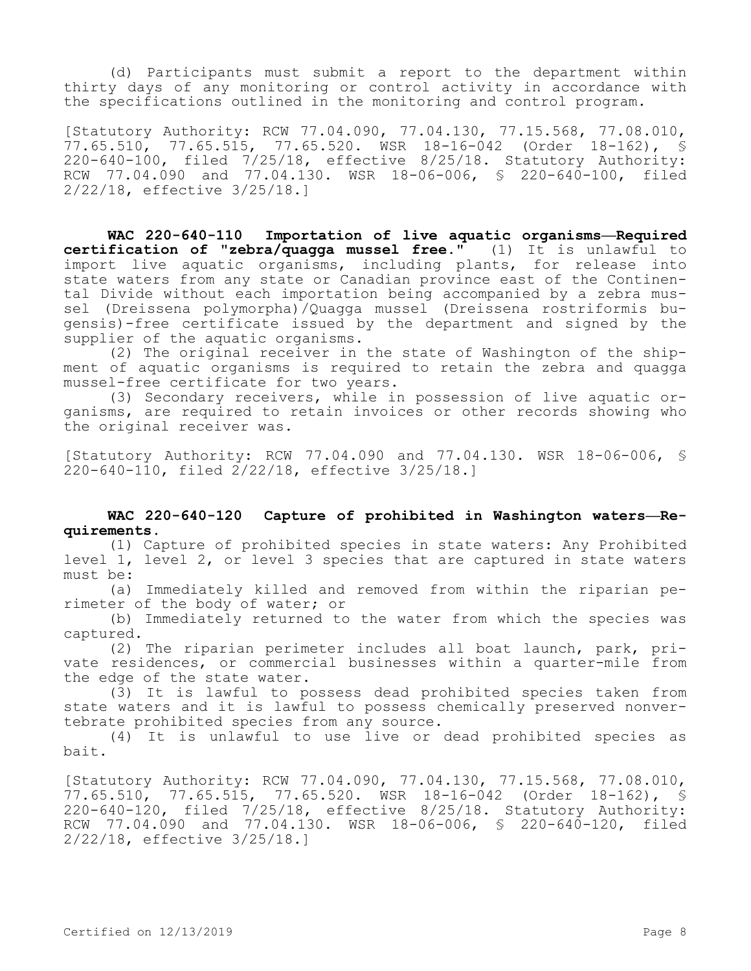(d) Participants must submit a report to the department within thirty days of any monitoring or control activity in accordance with the specifications outlined in the monitoring and control program.

[Statutory Authority: RCW 77.04.090, 77.04.130, 77.15.568, 77.08.010, 77.65.510, 77.65.515, 77.65.520. WSR 18-16-042 (Order 18-162), § 220-640-100, filed 7/25/18, effective 8/25/18. Statutory Authority: RCW 77.04.090 and 77.04.130. WSR 18-06-006, \$ 220-640-100, filed 2/22/18, effective 3/25/18.]

**WAC 220-640-110 Importation of live aquatic organisms—Required certification of "zebra/quagga mussel free."** (1) It is unlawful to import live aquatic organisms, including plants, for release into state waters from any state or Canadian province east of the Continental Divide without each importation being accompanied by a zebra mussel (Dreissena polymorpha)/Quagga mussel (Dreissena rostriformis bugensis)-free certificate issued by the department and signed by the supplier of the aquatic organisms.

(2) The original receiver in the state of Washington of the shipment of aquatic organisms is required to retain the zebra and quagga mussel-free certificate for two years.

(3) Secondary receivers, while in possession of live aquatic organisms, are required to retain invoices or other records showing who the original receiver was.

[Statutory Authority: RCW 77.04.090 and 77.04.130. WSR 18-06-006, § 220-640-110, filed 2/22/18, effective 3/25/18.]

## **WAC 220-640-120 Capture of prohibited in Washington waters—Requirements.**

(1) Capture of prohibited species in state waters: Any Prohibited level 1, level 2, or level 3 species that are captured in state waters must be:

(a) Immediately killed and removed from within the riparian perimeter of the body of water; or

(b) Immediately returned to the water from which the species was captured.

(2) The riparian perimeter includes all boat launch, park, private residences, or commercial businesses within a quarter-mile from the edge of the state water.

(3) It is lawful to possess dead prohibited species taken from state waters and it is lawful to possess chemically preserved nonvertebrate prohibited species from any source.

(4) It is unlawful to use live or dead prohibited species as bait.

[Statutory Authority: RCW 77.04.090, 77.04.130, 77.15.568, 77.08.010, 77.65.510, 77.65.515, 77.65.520. WSR 18-16-042 (Order 18-162), § 220-640-120, filed 7/25/18, effective 8/25/18. Statutory Authority: RCW 77.04.090 and 77.04.130. WSR 18-06-006, § 220-640-120, filed 2/22/18, effective 3/25/18.]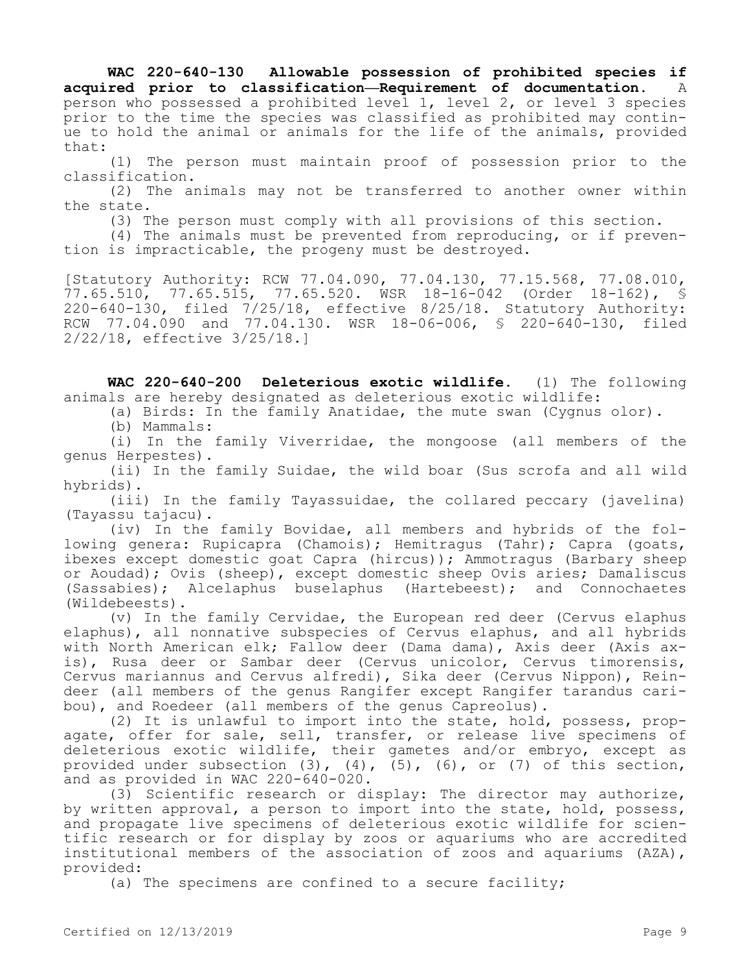**WAC 220-640-130 Allowable possession of prohibited species if acquired prior to classification—Requirement of documentation.** A person who possessed a prohibited level 1, level 2, or level 3 species prior to the time the species was classified as prohibited may continue to hold the animal or animals for the life of the animals, provided that:

(1) The person must maintain proof of possession prior to the classification.

(2) The animals may not be transferred to another owner within the state.

(3) The person must comply with all provisions of this section.

(4) The animals must be prevented from reproducing, or if prevention is impracticable, the progeny must be destroyed.

[Statutory Authority: RCW 77.04.090, 77.04.130, 77.15.568, 77.08.010, 77.65.510, 77.65.515, 77.65.520. WSR 18-16-042 (Order 18-162), § 220-640-130, filed 7/25/18, effective 8/25/18. Statutory Authority: RCW 77.04.090 and 77.04.130. WSR 18-06-006, § 220-640-130, filed 2/22/18, effective 3/25/18.]

**WAC 220-640-200 Deleterious exotic wildlife.** (1) The following animals are hereby designated as deleterious exotic wildlife:

(a) Birds: In the family Anatidae, the mute swan (Cygnus olor).

(b) Mammals:

(i) In the family Viverridae, the mongoose (all members of the genus Herpestes).

(ii) In the family Suidae, the wild boar (Sus scrofa and all wild hybrids).

(iii) In the family Tayassuidae, the collared peccary (javelina) (Tayassu tajacu).

(iv) In the family Bovidae, all members and hybrids of the following genera: Rupicapra (Chamois); Hemitragus (Tahr); Capra (goats, ibexes except domestic goat Capra (hircus)); Ammotragus (Barbary sheep or Aoudad); Ovis (sheep), except domestic sheep Ovis aries; Damaliscus (Sassabies); Alcelaphus buselaphus (Hartebeest); and Connochaetes (Wildebeests).

(v) In the family Cervidae, the European red deer (Cervus elaphus elaphus), all nonnative subspecies of Cervus elaphus, and all hybrids with North American elk; Fallow deer (Dama dama), Axis deer (Axis axis), Rusa deer or Sambar deer (Cervus unicolor, Cervus timorensis, Cervus mariannus and Cervus alfredi), Sika deer (Cervus Nippon), Reindeer (all members of the genus Rangifer except Rangifer tarandus caribou), and Roedeer (all members of the genus Capreolus).

(2) It is unlawful to import into the state, hold, possess, propagate, offer for sale, sell, transfer, or release live specimens of deleterious exotic wildlife, their gametes and/or embryo, except as provided under subsection  $(3)$ ,  $(4)$ ,  $(5)$ ,  $(6)$ , or  $(7)$  of this section, and as provided in WAC 220-640-020.

(3) Scientific research or display: The director may authorize, by written approval, a person to import into the state, hold, possess, and propagate live specimens of deleterious exotic wildlife for scientific research or for display by zoos or aquariums who are accredited institutional members of the association of zoos and aquariums (AZA), provided:

(a) The specimens are confined to a secure facility;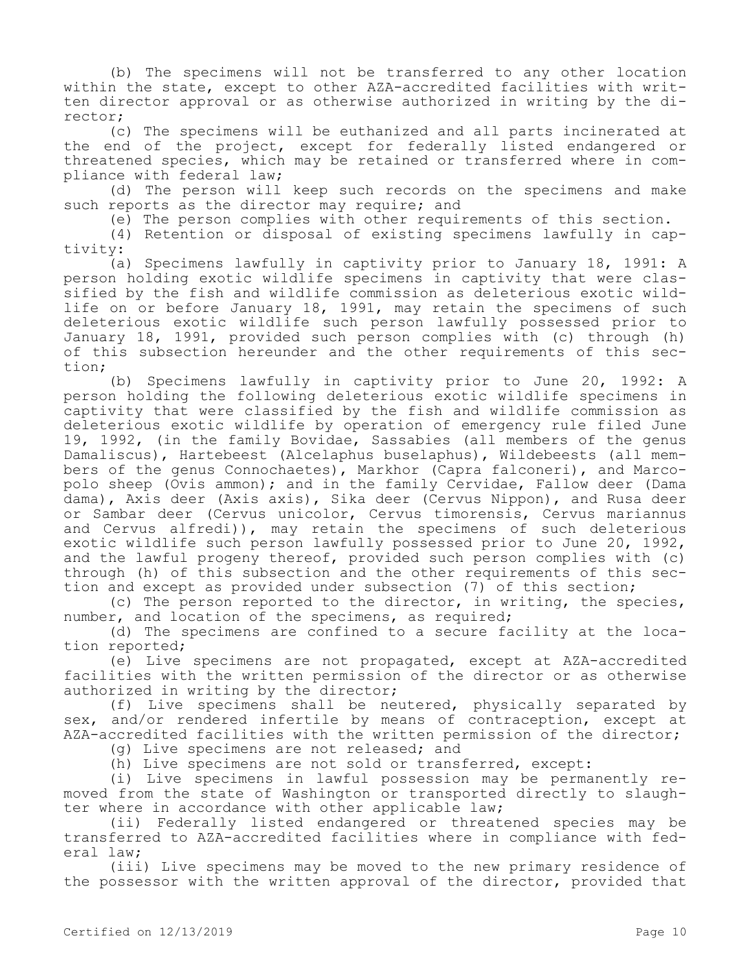(b) The specimens will not be transferred to any other location within the state, except to other AZA-accredited facilities with written director approval or as otherwise authorized in writing by the director;

(c) The specimens will be euthanized and all parts incinerated at the end of the project, except for federally listed endangered or threatened species, which may be retained or transferred where in compliance with federal law;

(d) The person will keep such records on the specimens and make such reports as the director may require; and

(e) The person complies with other requirements of this section.

(4) Retention or disposal of existing specimens lawfully in captivity:

(a) Specimens lawfully in captivity prior to January 18, 1991: A person holding exotic wildlife specimens in captivity that were classified by the fish and wildlife commission as deleterious exotic wildlife on or before January 18, 1991, may retain the specimens of such deleterious exotic wildlife such person lawfully possessed prior to January 18, 1991, provided such person complies with (c) through (h) of this subsection hereunder and the other requirements of this section;

(b) Specimens lawfully in captivity prior to June 20, 1992: A person holding the following deleterious exotic wildlife specimens in captivity that were classified by the fish and wildlife commission as deleterious exotic wildlife by operation of emergency rule filed June 19, 1992, (in the family Bovidae, Sassabies (all members of the genus Damaliscus), Hartebeest (Alcelaphus buselaphus), Wildebeests (all members of the genus Connochaetes), Markhor (Capra falconeri), and Marcopolo sheep (Ovis ammon); and in the family Cervidae, Fallow deer (Dama dama), Axis deer (Axis axis), Sika deer (Cervus Nippon), and Rusa deer or Sambar deer (Cervus unicolor, Cervus timorensis, Cervus mariannus and Cervus alfredi)), may retain the specimens of such deleterious exotic wildlife such person lawfully possessed prior to June 20, 1992, and the lawful progeny thereof, provided such person complies with (c) through (h) of this subsection and the other requirements of this section and except as provided under subsection (7) of this section;

(c) The person reported to the director, in writing, the species, number, and location of the specimens, as required;

(d) The specimens are confined to a secure facility at the location reported;

(e) Live specimens are not propagated, except at AZA-accredited facilities with the written permission of the director or as otherwise authorized in writing by the director;

(f) Live specimens shall be neutered, physically separated by sex, and/or rendered infertile by means of contraception, except at AZA-accredited facilities with the written permission of the director;

(g) Live specimens are not released; and

(h) Live specimens are not sold or transferred, except:

(i) Live specimens in lawful possession may be permanently removed from the state of Washington or transported directly to slaughter where in accordance with other applicable law;

(ii) Federally listed endangered or threatened species may be transferred to AZA-accredited facilities where in compliance with federal law;

(iii) Live specimens may be moved to the new primary residence of the possessor with the written approval of the director, provided that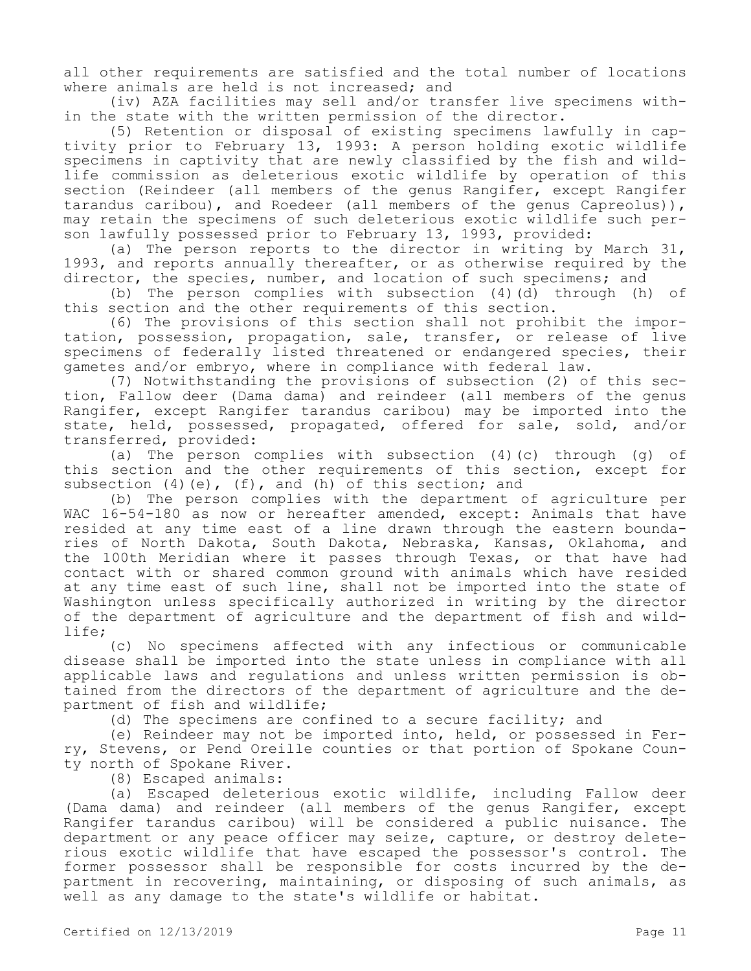all other requirements are satisfied and the total number of locations where animals are held is not increased; and

(iv) AZA facilities may sell and/or transfer live specimens within the state with the written permission of the director.

(5) Retention or disposal of existing specimens lawfully in captivity prior to February 13, 1993: A person holding exotic wildlife specimens in captivity that are newly classified by the fish and wildlife commission as deleterious exotic wildlife by operation of this section (Reindeer (all members of the genus Rangifer, except Rangifer tarandus caribou), and Roedeer (all members of the genus Capreolus)), may retain the specimens of such deleterious exotic wildlife such person lawfully possessed prior to February 13, 1993, provided:

(a) The person reports to the director in writing by March 31, 1993, and reports annually thereafter, or as otherwise required by the director, the species, number, and location of such specimens; and

(b) The person complies with subsection (4)(d) through (h) of this section and the other requirements of this section.

(6) The provisions of this section shall not prohibit the importation, possession, propagation, sale, transfer, or release of live specimens of federally listed threatened or endangered species, their gametes and/or embryo, where in compliance with federal law.

(7) Notwithstanding the provisions of subsection (2) of this section, Fallow deer (Dama dama) and reindeer (all members of the genus Rangifer, except Rangifer tarandus caribou) may be imported into the state, held, possessed, propagated, offered for sale, sold, and/or transferred, provided:

(a) The person complies with subsection (4)(c) through (g) of this section and the other requirements of this section, except for subsection  $(4)(e)$ ,  $(f)$ , and  $(h)$  of this section; and

(b) The person complies with the department of agriculture per WAC 16-54-180 as now or hereafter amended, except: Animals that have resided at any time east of a line drawn through the eastern boundaries of North Dakota, South Dakota, Nebraska, Kansas, Oklahoma, and the 100th Meridian where it passes through Texas, or that have had contact with or shared common ground with animals which have resided at any time east of such line, shall not be imported into the state of Washington unless specifically authorized in writing by the director of the department of agriculture and the department of fish and wildlife;

(c) No specimens affected with any infectious or communicable disease shall be imported into the state unless in compliance with all applicable laws and regulations and unless written permission is obtained from the directors of the department of agriculture and the department of fish and wildlife;

(d) The specimens are confined to a secure facility; and

(e) Reindeer may not be imported into, held, or possessed in Ferry, Stevens, or Pend Oreille counties or that portion of Spokane County north of Spokane River.

(8) Escaped animals:

(a) Escaped deleterious exotic wildlife, including Fallow deer (Dama dama) and reindeer (all members of the genus Rangifer, except Rangifer tarandus caribou) will be considered a public nuisance. The department or any peace officer may seize, capture, or destroy deleterious exotic wildlife that have escaped the possessor's control. The former possessor shall be responsible for costs incurred by the department in recovering, maintaining, or disposing of such animals, as well as any damage to the state's wildlife or habitat.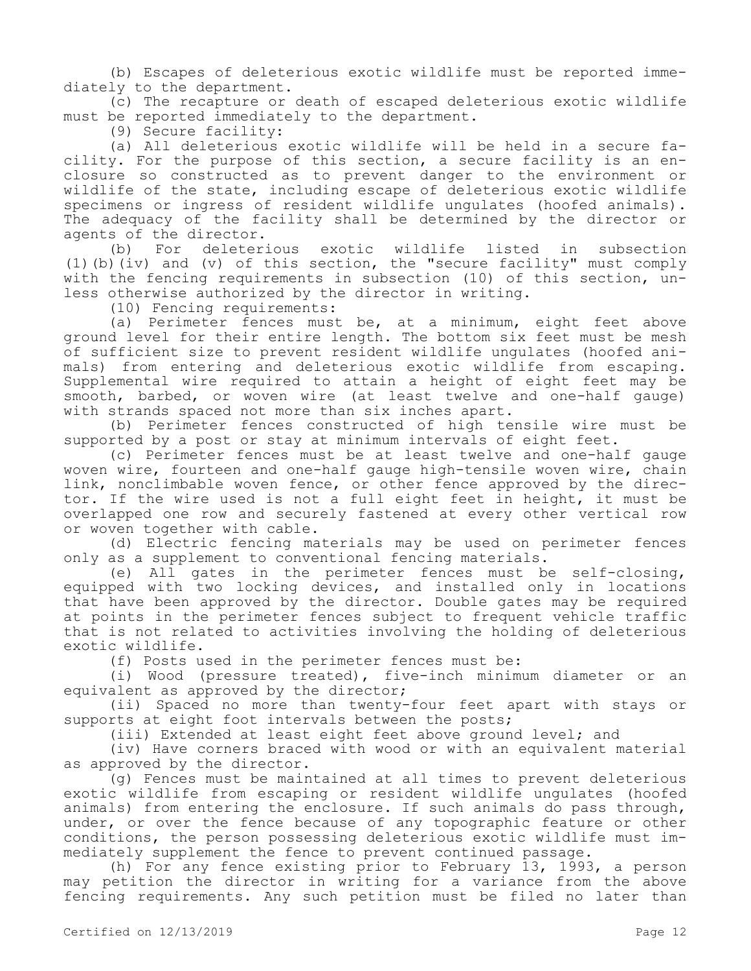(b) Escapes of deleterious exotic wildlife must be reported immediately to the department.

(c) The recapture or death of escaped deleterious exotic wildlife must be reported immediately to the department.

(9) Secure facility:

(a) All deleterious exotic wildlife will be held in a secure facility. For the purpose of this section, a secure facility is an enclosure so constructed as to prevent danger to the environment or wildlife of the state, including escape of deleterious exotic wildlife specimens or ingress of resident wildlife ungulates (hoofed animals). The adequacy of the facility shall be determined by the director or agents of the director.<br>(b) For deleterious

(b) For deleterious exotic wildlife listed in subsection (1)(b)(iv) and (v) of this section, the "secure facility" must comply with the fencing requirements in subsection (10) of this section, unless otherwise authorized by the director in writing.

(10) Fencing requirements:

(a) Perimeter fences must be, at a minimum, eight feet above ground level for their entire length. The bottom six feet must be mesh of sufficient size to prevent resident wildlife ungulates (hoofed animals) from entering and deleterious exotic wildlife from escaping. Supplemental wire required to attain a height of eight feet may be smooth, barbed, or woven wire (at least twelve and one-half gauge) with strands spaced not more than six inches apart.

(b) Perimeter fences constructed of high tensile wire must be supported by a post or stay at minimum intervals of eight feet.

(c) Perimeter fences must be at least twelve and one-half gauge woven wire, fourteen and one-half gauge high-tensile woven wire, chain link, nonclimbable woven fence, or other fence approved by the director. If the wire used is not a full eight feet in height, it must be overlapped one row and securely fastened at every other vertical row or woven together with cable.

(d) Electric fencing materials may be used on perimeter fences only as a supplement to conventional fencing materials.

(e) All gates in the perimeter fences must be self-closing, equipped with two locking devices, and installed only in locations that have been approved by the director. Double gates may be required at points in the perimeter fences subject to frequent vehicle traffic that is not related to activities involving the holding of deleterious exotic wildlife.

(f) Posts used in the perimeter fences must be:

(i) Wood (pressure treated), five-inch minimum diameter or an equivalent as approved by the director;

(ii) Spaced no more than twenty-four feet apart with stays or supports at eight foot intervals between the posts;

(iii) Extended at least eight feet above ground level; and

(iv) Have corners braced with wood or with an equivalent material as approved by the director.

(g) Fences must be maintained at all times to prevent deleterious exotic wildlife from escaping or resident wildlife ungulates (hoofed animals) from entering the enclosure. If such animals do pass through, under, or over the fence because of any topographic feature or other conditions, the person possessing deleterious exotic wildlife must immediately supplement the fence to prevent continued passage.

(h) For any fence existing prior to February 13, 1993, a person may petition the director in writing for a variance from the above fencing requirements. Any such petition must be filed no later than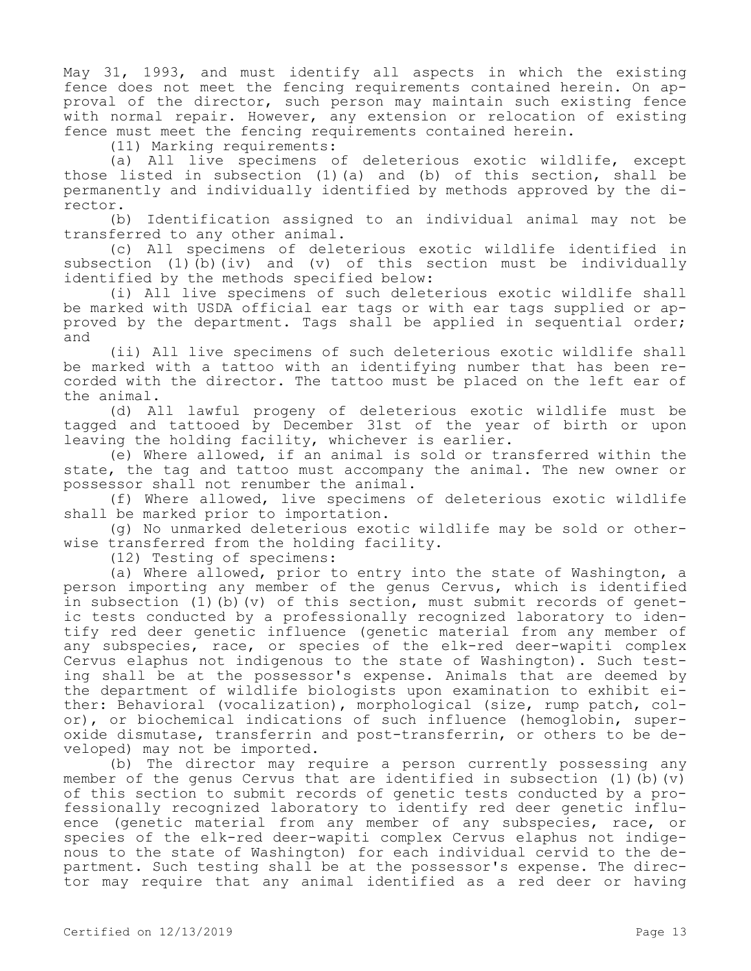May 31, 1993, and must identify all aspects in which the existing fence does not meet the fencing requirements contained herein. On approval of the director, such person may maintain such existing fence with normal repair. However, any extension or relocation of existing fence must meet the fencing requirements contained herein.

(11) Marking requirements:

(a) All live specimens of deleterious exotic wildlife, except those listed in subsection (1)(a) and (b) of this section, shall be permanently and individually identified by methods approved by the director.

(b) Identification assigned to an individual animal may not be transferred to any other animal.

(c) All specimens of deleterious exotic wildlife identified in subsection (1)(b)(iv) and (v) of this section must be individually identified by the methods specified below:

(i) All live specimens of such deleterious exotic wildlife shall be marked with USDA official ear tags or with ear tags supplied or approved by the department. Tags shall be applied in sequential order; and

(ii) All live specimens of such deleterious exotic wildlife shall be marked with a tattoo with an identifying number that has been recorded with the director. The tattoo must be placed on the left ear of the animal.

(d) All lawful progeny of deleterious exotic wildlife must be tagged and tattooed by December 31st of the year of birth or upon leaving the holding facility, whichever is earlier.

(e) Where allowed, if an animal is sold or transferred within the state, the tag and tattoo must accompany the animal. The new owner or possessor shall not renumber the animal.

(f) Where allowed, live specimens of deleterious exotic wildlife shall be marked prior to importation.

(g) No unmarked deleterious exotic wildlife may be sold or otherwise transferred from the holding facility.

(12) Testing of specimens:

(a) Where allowed, prior to entry into the state of Washington, a person importing any member of the genus Cervus, which is identified in subsection (1)(b)(v) of this section, must submit records of genetic tests conducted by a professionally recognized laboratory to identify red deer genetic influence (genetic material from any member of any subspecies, race, or species of the elk-red deer-wapiti complex Cervus elaphus not indigenous to the state of Washington). Such testing shall be at the possessor's expense. Animals that are deemed by the department of wildlife biologists upon examination to exhibit either: Behavioral (vocalization), morphological (size, rump patch, color), or biochemical indications of such influence (hemoglobin, superoxide dismutase, transferrin and post-transferrin, or others to be developed) may not be imported.

(b) The director may require a person currently possessing any member of the genus Cervus that are identified in subsection  $(1)$  (b)  $(v)$ of this section to submit records of genetic tests conducted by a professionally recognized laboratory to identify red deer genetic influence (genetic material from any member of any subspecies, race, or species of the elk-red deer-wapiti complex Cervus elaphus not indigenous to the state of Washington) for each individual cervid to the department. Such testing shall be at the possessor's expense. The director may require that any animal identified as a red deer or having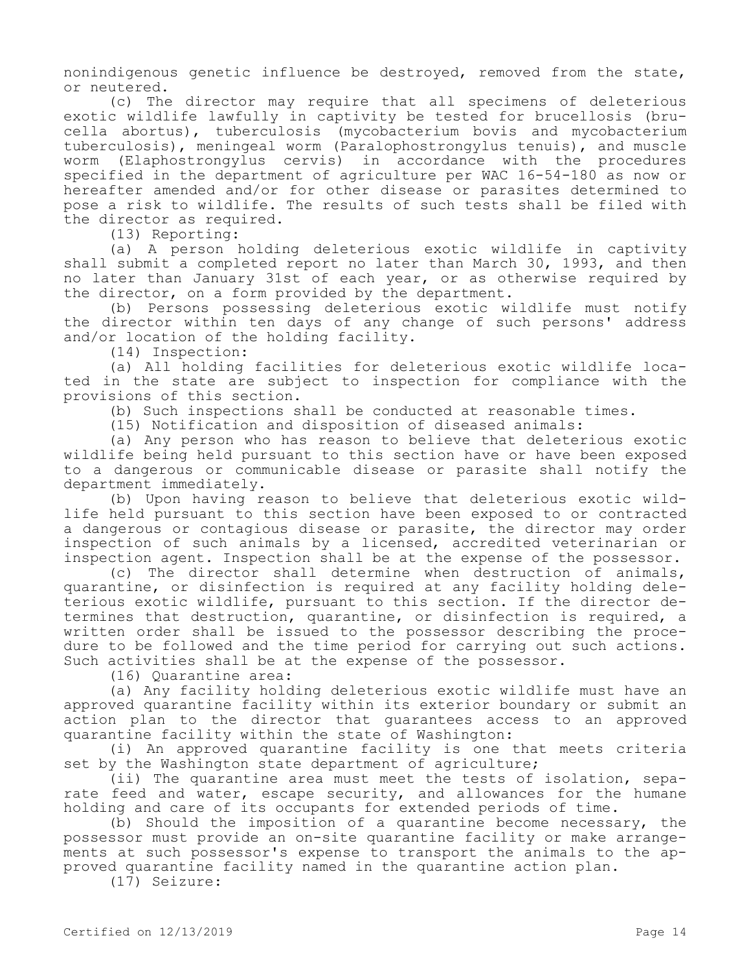nonindigenous genetic influence be destroyed, removed from the state, or neutered.

(c) The director may require that all specimens of deleterious exotic wildlife lawfully in captivity be tested for brucellosis (brucella abortus), tuberculosis (mycobacterium bovis and mycobacterium tuberculosis), meningeal worm (Paralophostrongylus tenuis), and muscle worm (Elaphostrongylus cervis) in accordance with the procedures specified in the department of agriculture per WAC 16-54-180 as now or hereafter amended and/or for other disease or parasites determined to pose a risk to wildlife. The results of such tests shall be filed with the director as required.

(13) Reporting:

(a) A person holding deleterious exotic wildlife in captivity shall submit a completed report no later than March 30, 1993, and then no later than January 31st of each year, or as otherwise required by the director, on a form provided by the department.

(b) Persons possessing deleterious exotic wildlife must notify the director within ten days of any change of such persons' address and/or location of the holding facility.

(14) Inspection:

(a) All holding facilities for deleterious exotic wildlife located in the state are subject to inspection for compliance with the provisions of this section.

(b) Such inspections shall be conducted at reasonable times.

(15) Notification and disposition of diseased animals:

(a) Any person who has reason to believe that deleterious exotic wildlife being held pursuant to this section have or have been exposed to a dangerous or communicable disease or parasite shall notify the department immediately.

(b) Upon having reason to believe that deleterious exotic wildlife held pursuant to this section have been exposed to or contracted a dangerous or contagious disease or parasite, the director may order inspection of such animals by a licensed, accredited veterinarian or inspection agent. Inspection shall be at the expense of the possessor.

(c) The director shall determine when destruction of animals, quarantine, or disinfection is required at any facility holding deleterious exotic wildlife, pursuant to this section. If the director determines that destruction, quarantine, or disinfection is required, a written order shall be issued to the possessor describing the procedure to be followed and the time period for carrying out such actions. Such activities shall be at the expense of the possessor.

(16) Quarantine area:

(a) Any facility holding deleterious exotic wildlife must have an approved quarantine facility within its exterior boundary or submit an action plan to the director that guarantees access to an approved quarantine facility within the state of Washington:

(i) An approved quarantine facility is one that meets criteria set by the Washington state department of agriculture;

(ii) The quarantine area must meet the tests of isolation, separate feed and water, escape security, and allowances for the humane holding and care of its occupants for extended periods of time.

(b) Should the imposition of a quarantine become necessary, the possessor must provide an on-site quarantine facility or make arrangements at such possessor's expense to transport the animals to the approved quarantine facility named in the quarantine action plan.

(17) Seizure: